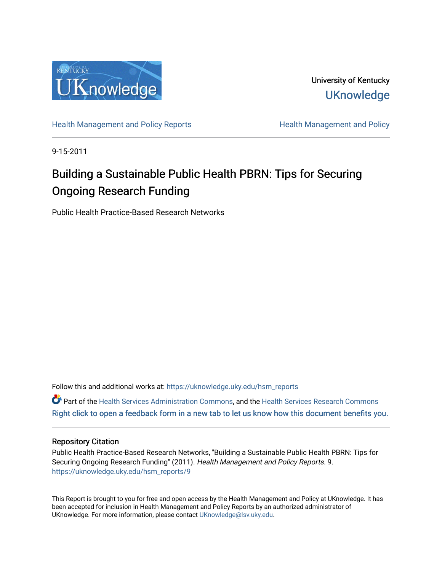

University of Kentucky **UKnowledge** 

[Health Management and Policy Reports](https://uknowledge.uky.edu/hsm_reports) **Health Management and Policy Health Management and Policy** 

9-15-2011

## Building a Sustainable Public Health PBRN: Tips for Securing Ongoing Research Funding

Public Health Practice-Based Research Networks

Follow this and additional works at: [https://uknowledge.uky.edu/hsm\\_reports](https://uknowledge.uky.edu/hsm_reports?utm_source=uknowledge.uky.edu%2Fhsm_reports%2F9&utm_medium=PDF&utm_campaign=PDFCoverPages)

Part of the [Health Services Administration Commons,](http://network.bepress.com/hgg/discipline/747?utm_source=uknowledge.uky.edu%2Fhsm_reports%2F9&utm_medium=PDF&utm_campaign=PDFCoverPages) and the [Health Services Research Commons](http://network.bepress.com/hgg/discipline/816?utm_source=uknowledge.uky.edu%2Fhsm_reports%2F9&utm_medium=PDF&utm_campaign=PDFCoverPages) [Right click to open a feedback form in a new tab to let us know how this document benefits you.](https://uky.az1.qualtrics.com/jfe/form/SV_9mq8fx2GnONRfz7)

## Repository Citation

Public Health Practice-Based Research Networks, "Building a Sustainable Public Health PBRN: Tips for Securing Ongoing Research Funding" (2011). Health Management and Policy Reports. 9. [https://uknowledge.uky.edu/hsm\\_reports/9](https://uknowledge.uky.edu/hsm_reports/9?utm_source=uknowledge.uky.edu%2Fhsm_reports%2F9&utm_medium=PDF&utm_campaign=PDFCoverPages)

This Report is brought to you for free and open access by the Health Management and Policy at UKnowledge. It has been accepted for inclusion in Health Management and Policy Reports by an authorized administrator of UKnowledge. For more information, please contact [UKnowledge@lsv.uky.edu](mailto:UKnowledge@lsv.uky.edu).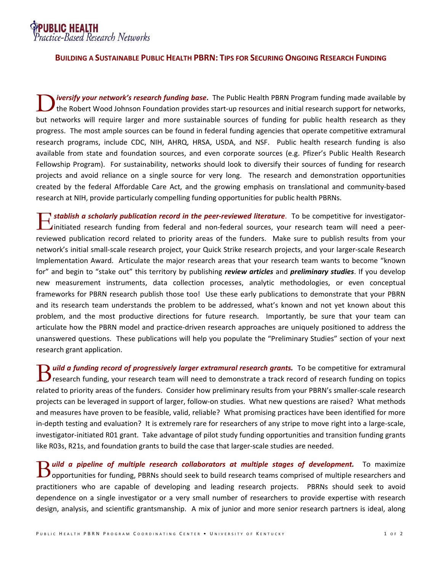P**UBLIC HEALTH**<br>Practice-Based Research Networks

## **BUILDING A SUSTAINABLE PUBLIC HEALTH PBRN: TIPS FOR SECURING ONGOING RESEARCH FUNDING**

*iversify your network's research funding base***.** The Public Health PBRN Program funding made available by the Robert Wood Johnson Foundation provides start-up resources and initial research support for networks, but networks will require larger and more sustainable sources of funding for public health research as they progress. The most ample sources can be found in federal funding agencies that operate competitive extramural research programs, include CDC, NIH, AHRQ, HRSA, USDA, and NSF. Public health research funding is also available from state and foundation sources, and even corporate sources (e.g. Pfizer's Public Health Research Fellowship Program). For sustainability, networks should look to diversify their sources of funding for research projects and avoid reliance on a single source for very long. The research and demonstration opportunities created by the federal Affordable Care Act, and the growing emphasis on translational and community-based research at NIH, provide particularly compelling funding opportunities for public health PBRNs. D

*stablish a scholarly publication record in the peer-reviewed literature*. To be competitive for investigatorinitiated research funding from federal and non-federal sources, your research team will need a peerreviewed publication record related to priority areas of the funders. Make sure to publish results from your network's initial small-scale research project, your Quick Strike research projects, and your larger-scale Research Implementation Award. Articulate the major research areas that your research team wants to become "known for" and begin to "stake out" this territory by publishing *review articles* and *preliminary studies*. If you develop new measurement instruments, data collection processes, analytic methodologies, or even conceptual frameworks for PBRN research publish those too! Use these early publications to demonstrate that your PBRN and its research team understands the problem to be addressed, what's known and not yet known about this problem, and the most productive directions for future research. Importantly, be sure that your team can articulate how the PBRN model and practice-driven research approaches are uniquely positioned to address the unanswered questions. These publications will help you populate the "Preliminary Studies" section of your next research grant application. E

**)** uild a funding record of progressively larger extramural research grants. To be competitive for extramural **B** *uild a funding record of progressively larger extramural research grants.* To be competitive for extramural research funding, your research team will need to demonstrate a track record of research funding on topics related to priority areas of the funders. Consider how preliminary results from your PBRN's smaller-scale research projects can be leveraged in support of larger, follow-on studies. What new questions are raised? What methods and measures have proven to be feasible, valid, reliable? What promising practices have been identified for more in-depth testing and evaluation? It is extremely rare for researchers of any stripe to move right into a large-scale, investigator-initiated R01 grant. Take advantage of pilot study funding opportunities and transition funding grants like R03s, R21s, and foundation grants to build the case that larger-scale studies are needed.

*uild a pipeline of multiple research collaborators at multiple stages of development.* **To maximize B** uild a pipeline of multiple research collaborators at multiple stages of development. To maximize opportunities for funding, PBRNs should seek to build research teams comprised of multiple researchers and practitioners who are capable of developing and leading research projects. PBRNs should seek to avoid dependence on a single investigator or a very small number of researchers to provide expertise with research design, analysis, and scientific grantsmanship. A mix of junior and more senior research partners is ideal, along